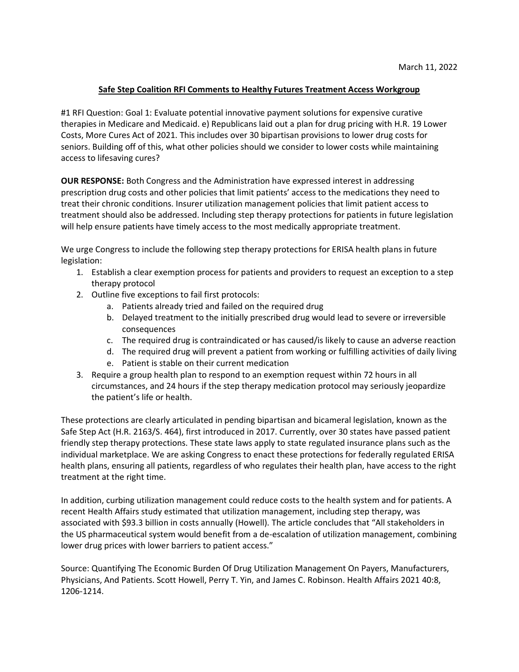## **Safe Step Coalition RFI Comments to Healthy Futures Treatment Access Workgroup**

#1 RFI Question: Goal 1: Evaluate potential innovative payment solutions for expensive curative therapies in Medicare and Medicaid. e) Republicans laid out a plan for drug pricing with H.R. 19 Lower Costs, More Cures Act of 2021. This includes over 30 bipartisan provisions to lower drug costs for seniors. Building off of this, what other policies should we consider to lower costs while maintaining access to lifesaving cures?

**OUR RESPONSE:** Both Congress and the Administration have expressed interest in addressing prescription drug costs and other policies that limit patients' access to the medications they need to treat their chronic conditions. Insurer utilization management policies that limit patient access to treatment should also be addressed. Including step therapy protections for patients in future legislation will help ensure patients have timely access to the most medically appropriate treatment.

We urge Congress to include the following step therapy protections for ERISA health plans in future legislation:

- 1. Establish a clear exemption process for patients and providers to request an exception to a step therapy protocol
- 2. Outline five exceptions to fail first protocols:
	- a. Patients already tried and failed on the required drug
	- b. Delayed treatment to the initially prescribed drug would lead to severe or irreversible consequences
	- c. The required drug is contraindicated or has caused/is likely to cause an adverse reaction
	- d. The required drug will prevent a patient from working or fulfilling activities of daily living
	- e. Patient is stable on their current medication
- 3. Require a group health plan to respond to an exemption request within 72 hours in all circumstances, and 24 hours if the step therapy medication protocol may seriously jeopardize the patient's life or health.

These protections are clearly articulated in pending bipartisan and bicameral legislation, known as the Safe Step Act (H.R. 2163/S. 464), first introduced in 2017. Currently, over 30 states have passed patient friendly step therapy protections. These state laws apply to state regulated insurance plans such as the individual marketplace. We are asking Congress to enact these protections for federally regulated ERISA health plans, ensuring all patients, regardless of who regulates their health plan, have access to the right treatment at the right time.

In addition, curbing utilization management could reduce costs to the health system and for patients. A recent Health Affairs study estimated that utilization management, including step therapy, was associated with \$93.3 billion in costs annually (Howell). The article concludes that "All stakeholders in the US pharmaceutical system would benefit from a de-escalation of utilization management, combining lower drug prices with lower barriers to patient access."

Source: Quantifying The Economic Burden Of Drug Utilization Management On Payers, Manufacturers, Physicians, And Patients. Scott Howell, Perry T. Yin, and James C. Robinson. Health Affairs 2021 40:8, 1206-1214.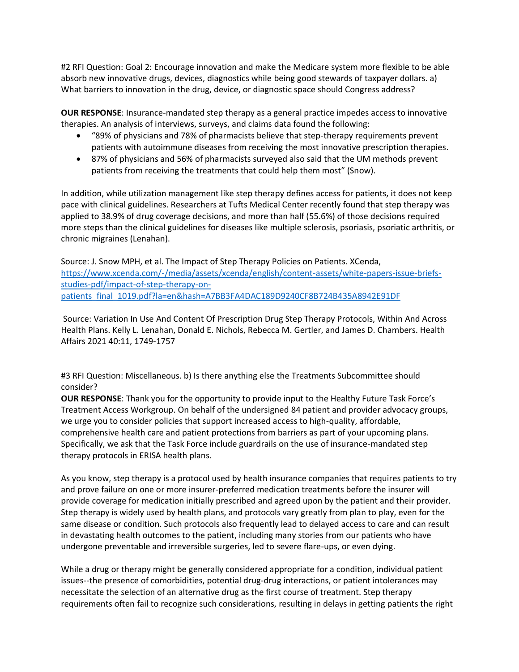#2 RFI Question: Goal 2: Encourage innovation and make the Medicare system more flexible to be able absorb new innovative drugs, devices, diagnostics while being good stewards of taxpayer dollars. a) What barriers to innovation in the drug, device, or diagnostic space should Congress address?

**OUR RESPONSE**: Insurance-mandated step therapy as a general practice impedes access to innovative therapies. An analysis of interviews, surveys, and claims data found the following:

- "89% of physicians and 78% of pharmacists believe that step-therapy requirements prevent patients with autoimmune diseases from receiving the most innovative prescription therapies.
- 87% of physicians and 56% of pharmacists surveyed also said that the UM methods prevent patients from receiving the treatments that could help them most" (Snow).

In addition, while utilization management like step therapy defines access for patients, it does not keep pace with clinical guidelines. Researchers at Tufts Medical Center recently found that step therapy was applied to 38.9% of drug coverage decisions, and more than half (55.6%) of those decisions required more steps than the clinical guidelines for diseases like multiple sclerosis, psoriasis, psoriatic arthritis, or chronic migraines (Lenahan).

Source: J. Snow MPH, et al. The Impact of Step Therapy Policies on Patients. XCenda, [https://www.xcenda.com/-/media/assets/xcenda/english/content-assets/white-papers-issue-briefs](https://www.xcenda.com/-/media/assets/xcenda/english/content-assets/white-papers-issue-briefs-studies-pdf/impact-of-step-therapy-on-patients_final_1019.pdf?la=en&hash=A7BB3FA4DAC189D9240CF8B724B435A8942E91DF)[studies-pdf/impact-of-step-therapy-on](https://www.xcenda.com/-/media/assets/xcenda/english/content-assets/white-papers-issue-briefs-studies-pdf/impact-of-step-therapy-on-patients_final_1019.pdf?la=en&hash=A7BB3FA4DAC189D9240CF8B724B435A8942E91DF)[patients\\_final\\_1019.pdf?la=en&hash=A7BB3FA4DAC189D9240CF8B724B435A8942E91DF](https://www.xcenda.com/-/media/assets/xcenda/english/content-assets/white-papers-issue-briefs-studies-pdf/impact-of-step-therapy-on-patients_final_1019.pdf?la=en&hash=A7BB3FA4DAC189D9240CF8B724B435A8942E91DF)

Source: Variation In Use And Content Of Prescription Drug Step Therapy Protocols, Within And Across Health Plans. Kelly L. Lenahan, Donald E. Nichols, Rebecca M. Gertler, and James D. Chambers. Health Affairs 2021 40:11, 1749-1757

#3 RFI Question: Miscellaneous. b) Is there anything else the Treatments Subcommittee should consider?

**OUR RESPONSE**: Thank you for the opportunity to provide input to the Healthy Future Task Force's Treatment Access Workgroup. On behalf of the undersigned 84 patient and provider advocacy groups, we urge you to consider policies that support increased access to high-quality, affordable, comprehensive health care and patient protections from barriers as part of your upcoming plans. Specifically, we ask that the Task Force include guardrails on the use of insurance-mandated step therapy protocols in ERISA health plans.

As you know, step therapy is a protocol used by health insurance companies that requires patients to try and prove failure on one or more insurer-preferred medication treatments before the insurer will provide coverage for medication initially prescribed and agreed upon by the patient and their provider. Step therapy is widely used by health plans, and protocols vary greatly from plan to play, even for the same disease or condition. Such protocols also frequently lead to delayed access to care and can result in devastating health outcomes to the patient, including many stories from our patients who have undergone preventable and irreversible surgeries, led to severe flare-ups, or even dying.

While a drug or therapy might be generally considered appropriate for a condition, individual patient issues--the presence of comorbidities, potential drug-drug interactions, or patient intolerances may necessitate the selection of an alternative drug as the first course of treatment. Step therapy requirements often fail to recognize such considerations, resulting in delays in getting patients the right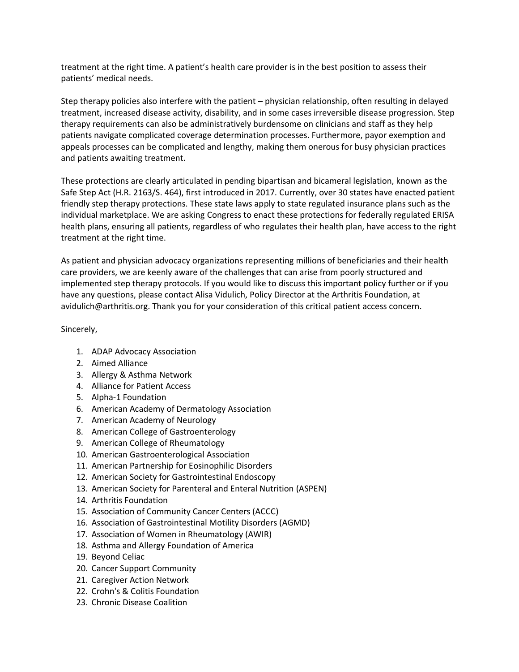treatment at the right time. A patient's health care provider is in the best position to assess their patients' medical needs.

Step therapy policies also interfere with the patient – physician relationship, often resulting in delayed treatment, increased disease activity, disability, and in some cases irreversible disease progression. Step therapy requirements can also be administratively burdensome on clinicians and staff as they help patients navigate complicated coverage determination processes. Furthermore, payor exemption and appeals processes can be complicated and lengthy, making them onerous for busy physician practices and patients awaiting treatment.

These protections are clearly articulated in pending bipartisan and bicameral legislation, known as the Safe Step Act (H.R. 2163/S. 464), first introduced in 2017. Currently, over 30 states have enacted patient friendly step therapy protections. These state laws apply to state regulated insurance plans such as the individual marketplace. We are asking Congress to enact these protections for federally regulated ERISA health plans, ensuring all patients, regardless of who regulates their health plan, have access to the right treatment at the right time.

As patient and physician advocacy organizations representing millions of beneficiaries and their health care providers, we are keenly aware of the challenges that can arise from poorly structured and implemented step therapy protocols. If you would like to discuss this important policy further or if you have any questions, please contact Alisa Vidulich, Policy Director at the Arthritis Foundation, at avidulich@arthritis.org. Thank you for your consideration of this critical patient access concern.

Sincerely,

- 1. ADAP Advocacy Association
- 2. Aimed Alliance
- 3. Allergy & Asthma Network
- 4. Alliance for Patient Access
- 5. Alpha-1 Foundation
- 6. American Academy of Dermatology Association
- 7. American Academy of Neurology
- 8. American College of Gastroenterology
- 9. American College of Rheumatology
- 10. American Gastroenterological Association
- 11. American Partnership for Eosinophilic Disorders
- 12. American Society for Gastrointestinal Endoscopy
- 13. American Society for Parenteral and Enteral Nutrition (ASPEN)
- 14. Arthritis Foundation
- 15. Association of Community Cancer Centers (ACCC)
- 16. Association of Gastrointestinal Motility Disorders (AGMD)
- 17. Association of Women in Rheumatology (AWIR)
- 18. Asthma and Allergy Foundation of America
- 19. Beyond Celiac
- 20. Cancer Support Community
- 21. Caregiver Action Network
- 22. Crohn's & Colitis Foundation
- 23. Chronic Disease Coalition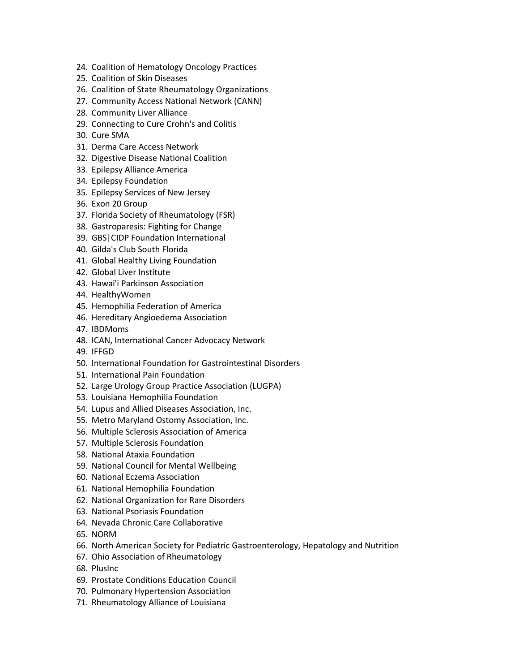- 24. Coalition of Hematology Oncology Practices
- 25. Coalition of Skin Diseases
- 26. Coalition of State Rheumatology Organizations
- 27. Community Access National Network (CANN)
- 28. Community Liver Alliance
- 29. Connecting to Cure Crohn's and Colitis
- 30. Cure SMA
- 31. Derma Care Access Network
- 32. Digestive Disease National Coalition
- 33. Epilepsy Alliance America
- 34. Epilepsy Foundation
- 35. Epilepsy Services of New Jersey
- 36. Exon 20 Group
- 37. Florida Society of Rheumatology (FSR)
- 38. Gastroparesis: Fighting for Change
- 39. GBS|CIDP Foundation International
- 40. Gilda's Club South Florida
- 41. Global Healthy Living Foundation
- 42. Global Liver Institute
- 43. Hawai'i Parkinson Association
- 44. HealthyWomen
- 45. Hemophilia Federation of America
- 46. Hereditary Angioedema Association
- 47. IBDMoms
- 48. ICAN, International Cancer Advocacy Network
- 49. IFFGD
- 50. International Foundation for Gastrointestinal Disorders
- 51. International Pain Foundation
- 52. Large Urology Group Practice Association (LUGPA)
- 53. Louisiana Hemophilia Foundation
- 54. Lupus and Allied Diseases Association, Inc.
- 55. Metro Maryland Ostomy Association, Inc.
- 56. Multiple Sclerosis Association of America
- 57. Multiple Sclerosis Foundation
- 58. National Ataxia Foundation
- 59. National Council for Mental Wellbeing
- 60. National Eczema Association
- 61. National Hemophilia Foundation
- 62. National Organization for Rare Disorders
- 63. National Psoriasis Foundation
- 64. Nevada Chronic Care Collaborative
- 65. NORM
- 66. North American Society for Pediatric Gastroenterology, Hepatology and Nutrition
- 67. Ohio Association of Rheumatology
- 68. PlusInc
- 69. Prostate Conditions Education Council
- 70. Pulmonary Hypertension Association
- 71. Rheumatology Alliance of Louisiana